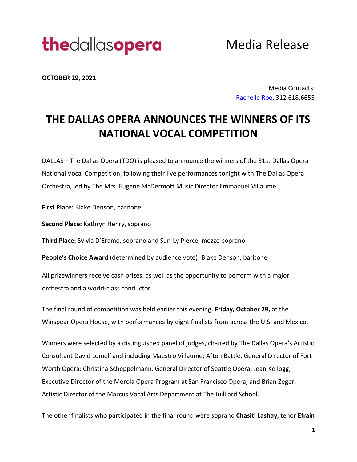

Media Release

**OCTOBER 29, 2021** 

Media Contacts: [Rachelle Roe,](mailto:Rachelle@artsetcpr.com) 312.618.6655

# **THE DALLAS OPERA ANNOUNCES THE WINNERS OF ITS NATIONAL VOCAL COMPETITION**

DALLAS—The Dallas Opera (TDO) is pleased to announce the winners of the 31st Dallas Opera National Vocal Competition, following their live performances tonight with The Dallas Opera Orchestra, led by The Mrs. Eugene McDermott Music Director Emmanuel Villaume.

**First Place:** Blake Denson, baritone

**Second Place:** Kathryn Henry, soprano

**Third Place:** Sylvia D'Eramo, soprano and Sun-Ly Pierce, mezzo-soprano

**People's Choice Award** (determined by audience vote): Blake Denson, baritone

All prizewinners receive cash prizes, as well as the opportunity to perform with a major orchestra and a world-class conductor.

The final round of competition was held earlier this evening, **Friday, October 29,** at the Winspear Opera House, with performances by eight finalists from across the U.S. and Mexico.

Winners were selected by a distinguished panel of judges, chaired by The Dallas Opera's Artistic Consultant David Lomelí and including Maestro Villaume; Afton Battle, General Director of Fort Worth Opera; Christina Scheppelmann, General Director of Seattle Opera; Jean Kellogg, Executive Director of the Merola Opera Program at San Francisco Opera; and Brian Zeger, Artistic Director of the Marcus Vocal Arts Department at The Juilliard School.

The other finalists who participated in the final round were soprano **Chasiti Lashay**, tenor **Efraín**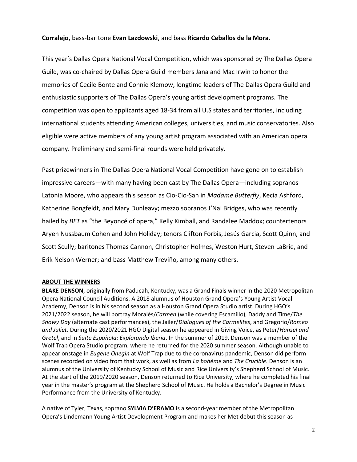# **Corralejo**, bass-baritone **Evan Lazdowski**, and bass **Ricardo Ceballos de la Mora**.

This year's Dallas Opera National Vocal Competition, which was sponsored by The Dallas Opera Guild, was co-chaired by Dallas Opera Guild members Jana and Mac Irwin to honor the memories of Cecile Bonte and Connie Klemow, longtime leaders of The Dallas Opera Guild and enthusiastic supporters of The Dallas Opera's young artist development programs. The competition was open to applicants aged 18-34 from all U.S states and territories, including international students attending American colleges, universities, and music conservatories. Also eligible were active members of any young artist program associated with an American opera company. Preliminary and semi-final rounds were held privately.

Past prizewinners in The Dallas Opera National Vocal Competition have gone on to establish impressive careers—with many having been cast by The Dallas Opera—including sopranos Latonia Moore, who appears this season as Cio-Cio-San in *Madame Butterfly*, Kecia Ashford, Katherine Bongfeldt, and Mary Dunleavy; mezzo sopranos J'Nai Bridges, who was recently hailed by *BET* as "the Beyoncé of opera," Kelly Kimball, and Randalee Maddox; countertenors Aryeh Nussbaum Cohen and John Holiday; tenors Clifton Forbis, Jesús Garcia, Scott Quinn, and Scott Scully; baritones Thomas Cannon, Christopher Holmes, Weston Hurt, Steven LaBrie, and Erik Nelson Werner; and bass Matthew Treviño, among many others.

#### **ABOUT THE WINNERS**

**BLAKE DENSON**, originally from Paducah, Kentucky, was a Grand Finals winner in the 2020 Metropolitan Opera National Council Auditions. A 2018 alumnus of Houston Grand Opera's Young Artist Vocal Academy, Denson is in his second season as a Houston Grand Opera Studio artist. During HGO's 2021/2022 season, he will portray Moralès/*Carmen* (while covering Escamillo), Daddy and Time/*The Snowy Day* (alternate cast performances), the Jailer/*Dialogues of the Carmelites*, and Gregorio/*Romeo and Juliet*. During the 2020/2021 HGO Digital season he appeared in Giving Voice, as Peter/*Hansel and Gretel*, and in *Suite Española: Explorando Iberia*. In the summer of 2019, Denson was a member of the Wolf Trap Opera Studio program, where he returned for the 2020 summer season. Although unable to appear onstage in *Eugene Onegin* at Wolf Trap due to the coronavirus pandemic, Denson did perform scenes recorded on video from that work, as well as from *La bohème* and *The Crucible*. Denson is an alumnus of the University of Kentucky School of Music and Rice University's Shepherd School of Music. At the start of the 2019/2020 season, Denson returned to Rice University, where he completed his final year in the master's program at the Shepherd School of Music. He holds a Bachelor's Degree in Music Performance from the University of Kentucky.

A native of Tyler, Texas, soprano **SYLVIA D'ERAMO** is a second-year member of the Metropolitan Opera's Lindemann Young Artist Development Program and makes her Met debut this season as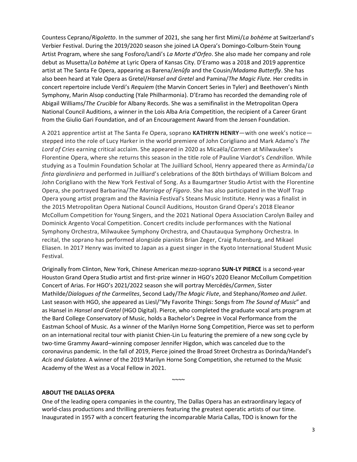Countess Ceprano/*Rigoletto*. In the summer of 2021, she sang her first Mimì/*La bohème* at Switzerland's Verbier Festival. During the 2019/2020 season she joined LA Opera's Domingo-Colburn-Stein Young Artist Program, where she sang Fosforo/Landi's *La Morte d'Orfeo*. She also made her company and role debut as Musetta/*La bohème* at Lyric Opera of Kansas City. D'Eramo was a 2018 and 2019 apprentice artist at The Santa Fe Opera, appearing as Barena/*Jenůfa* and the Cousin/*Madama Butterfly*. She has also been heard at Yale Opera as Gretel/*Hansel and Gretel* and Pamina/*The Magic Flute.* Her credits in concert repertoire include Verdi's *Requiem* (the Marvin Concert Series in Tyler) and Beethoven's Ninth Symphony, Marin Alsop conducting (Yale Philharmonia). D'Eramo has recorded the demanding role of Abigail Williams/*The Crucible* for Albany Records. She was a semifinalist in the Metropolitan Opera National Council Auditions, a winner in the Lois Alba Aria Competition, the recipient of a Career Grant from the Giulio Gari Foundation, and of an Encouragement Award from the Jensen Foundation.

A 2021 apprentice artist at The Santa Fe Opera, soprano **KATHRYN HENRY**—with one week's notice stepped into the role of Lucy Harker in the world premiere of John Corigliano and Mark Adamo's *The Lord of Cries* earning critical acclaim. She appeared in 2020 as Micaëla/*Carmen* at Milwaukee's Florentine Opera, where she returns this season in the title role of Pauline Viardot's *Cendrillon*. While studying as a Toulmin Foundation Scholar at The Juilliard School, Henry appeared there as Arminda/*La finta giardiniera* and performed in Juilliard's celebrations of the 80th birthdays of William Bolcom and John Corigliano with the New York Festival of Song. As a Baumgartner Studio Artist with the Florentine Opera, she portrayed Barbarina/*The Marriage of Figaro*. She has also participated in the Wolf Trap Opera young artist program and the Ravinia Festival's Steans Music Institute. Henry was a finalist in the 2015 Metropolitan Opera National Council Auditions, Houston Grand Opera's 2018 Eleanor McCollum Competition for Young Singers, and the 2021 National Opera Association Carolyn Bailey and Dominick Argento Vocal Competition. Concert credits include performances with the National Symphony Orchestra, Milwaukee Symphony Orchestra, and Chautauqua Symphony Orchestra. In recital, the soprano has performed alongside pianists Brian Zeger, Craig Rutenburg, and Mikael Eliasen. In 2017 Henry was invited to Japan as a guest singer in the Kyoto International Student Music Festival.

Originally from Clinton, New York, Chinese American mezzo-soprano **SUN-LY PIERCE** is a second-year Houston Grand Opera Studio artist and first-prize winner in HGO's 2020 Eleanor McCollum Competition Concert of Arias. For HGO's 2021/2022 season she will portray Mercédès/*Carmen*, Sister Mathilde/*Dialogues of the Carmelites*, Second Lady/*The Magic Flute*, and Stephano/*Romeo and Juliet*. Last season with HGO, she appeared as Liesl/"My Favorite Things: Songs from *The Sound of Music*" and as Hansel in *Hansel and Gretel* (HGO Digital). Pierce, who completed the graduate vocal arts program at the Bard College Conservatory of Music, holds a Bachelor's Degree in Vocal Performance from the Eastman School of Music. As a winner of the Marilyn Horne Song Competition, Pierce was set to perform on an international recital tour with pianist Chien-Lin Lu featuring the premiere of a new song cycle by two-time Grammy Award–winning composer Jennifer Higdon, which was canceled due to the coronavirus pandemic. In the fall of 2019, Pierce joined the Broad Street Orchestra as Dorinda/Handel's *Acis and Galatea*. A winner of the 2019 Marilyn Horne Song Competition, she returned to the Music Academy of the West as a Vocal Fellow in 2021. 

#### **ABOUT THE DALLAS OPERA**

One of the leading opera companies in the country, The Dallas Opera has an extraordinary legacy of world-class productions and thrilling premieres featuring the greatest operatic artists of our time. Inaugurated in 1957 with a concert featuring the incomparable Maria Callas, TDO is known for the

 $~\sim$  $~\sim$  $~\sim$